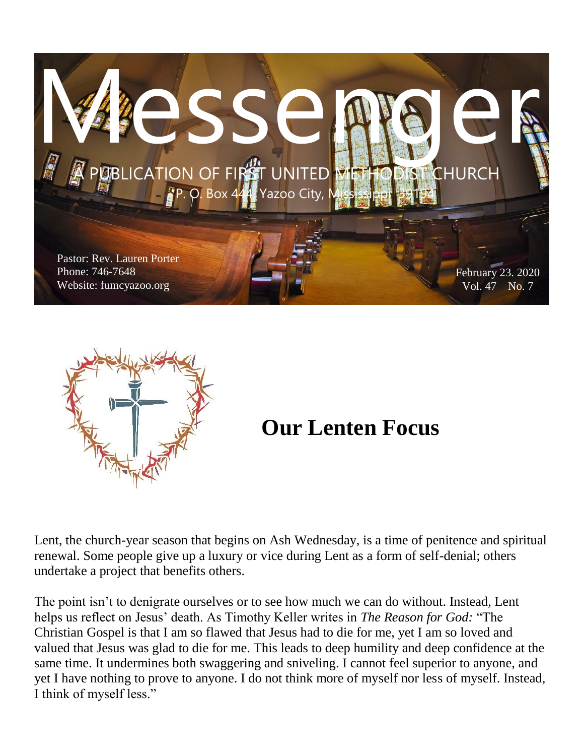



# **Our Lenten Focus**

Lent, the church-year season that begins on Ash Wednesday, is a time of penitence and spiritual renewal. Some people give up a luxury or vice during Lent as a form of self-denial; others undertake a project that benefits others.

The point isn't to denigrate ourselves or to see how much we can do without. Instead, Lent helps us reflect on Jesus' death. As Timothy Keller writes in *The Reason for God:* "The Christian Gospel is that I am so flawed that Jesus had to die for me, yet I am so loved and valued that Jesus was glad to die for me. This leads to deep humility and deep confidence at the same time. It undermines both swaggering and sniveling. I cannot feel superior to anyone, and yet I have nothing to prove to anyone. I do not think more of myself nor less of myself. Instead, I think of myself less."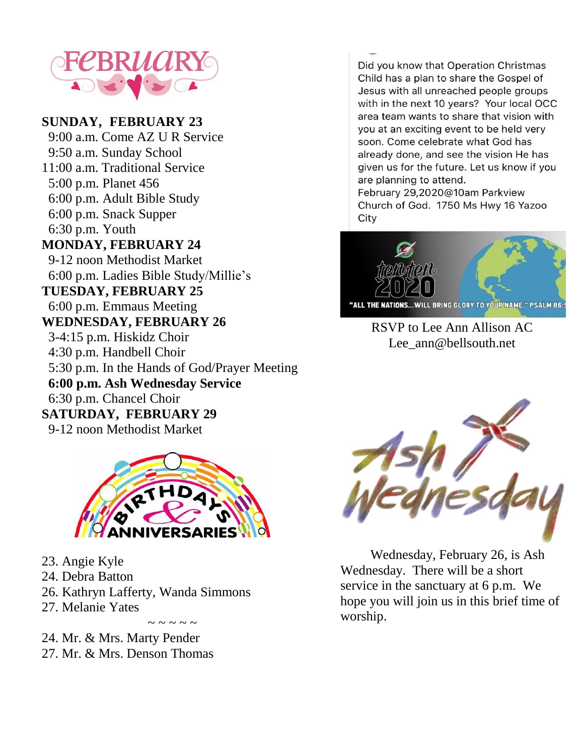

#### **SUNDAY, FEBRUARY 23**

 9:00 a.m. Come AZ U R Service 9:50 a.m. Sunday School 11:00 a.m. Traditional Service 5:00 p.m. Planet 456 6:00 p.m. Adult Bible Study 6:00 p.m. Snack Supper 6:30 p.m. Youth **MONDAY, FEBRUARY 24** 9-12 noon Methodist Market 6:00 p.m. Ladies Bible Study/Millie's **TUESDAY, FEBRUARY 25** 6:00 p.m. Emmaus Meeting **WEDNESDAY, FEBRUARY 26** 3-4:15 p.m. Hiskidz Choir 4:30 p.m. Handbell Choir 5:30 p.m. In the Hands of God/Prayer Meeting **6:00 p.m. Ash Wednesday Service** 6:30 p.m. Chancel Choir **SATURDAY, FEBRUARY 29** 9-12 noon Methodist Market



 $\sim$   $\sim$   $\sim$   $\sim$ 

- 23. Angie Kyle
- 24. Debra Batton
- 26. Kathryn Lafferty, Wanda Simmons
- 27. Melanie Yates

24. Mr. & Mrs. Marty Pender 27. Mr. & Mrs. Denson Thomas

Did you know that Operation Christmas Child has a plan to share the Gospel of Jesus with all unreached people groups with in the next 10 years? Your local OCC area team wants to share that vision with you at an exciting event to be held very soon. Come celebrate what God has already done, and see the vision He has given us for the future. Let us know if you are planning to attend.

February 29,2020@10am Parkview Church of God. 1750 Ms Hwy 16 Yazoo City



RSVP to Lee Ann Allison AC Lee\_ann@bellsouth.net



 Wednesday, February 26, is Ash Wednesday. There will be a short service in the sanctuary at 6 p.m. We hope you will join us in this brief time of worship.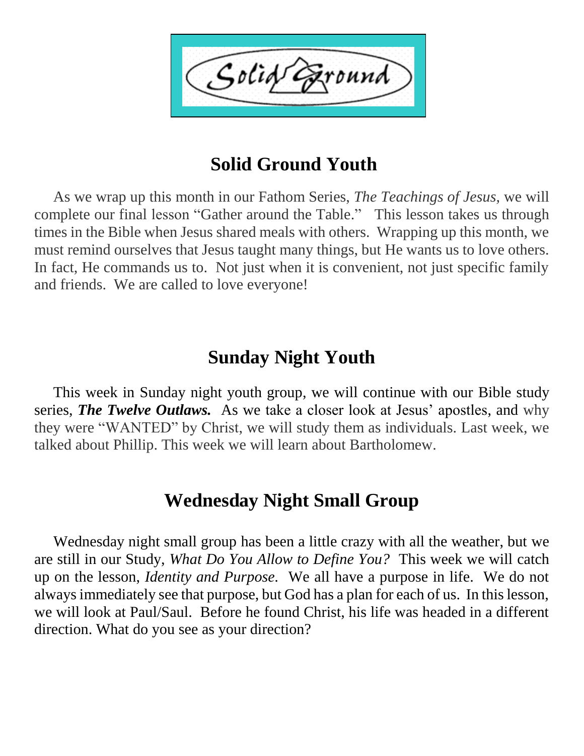Solid ound

# **Solid Ground Youth**

 As we wrap up this month in our Fathom Series, *The Teachings of Jesus,* we will complete our final lesson "Gather around the Table." This lesson takes us through times in the Bible when Jesus shared meals with others. Wrapping up this month, we must remind ourselves that Jesus taught many things, but He wants us to love others. In fact, He commands us to. Not just when it is convenient, not just specific family and friends. We are called to love everyone!

## **Sunday Night Youth**

 This week in Sunday night youth group, we will continue with our Bible study series, *The Twelve Outlaws.* As we take a closer look at Jesus' apostles, and why they were "WANTED" by Christ, we will study them as individuals. Last week, we talked about Phillip. This week we will learn about Bartholomew.

## **Wednesday Night Small Group**

 Wednesday night small group has been a little crazy with all the weather, but we are still in our Study, *What Do You Allow to Define You?* This week we will catch up on the lesson, *Identity and Purpose.* We all have a purpose in life. We do not always immediately see that purpose, but God has a plan for each of us. In this lesson, we will look at Paul/Saul. Before he found Christ, his life was headed in a different direction. What do you see as your direction?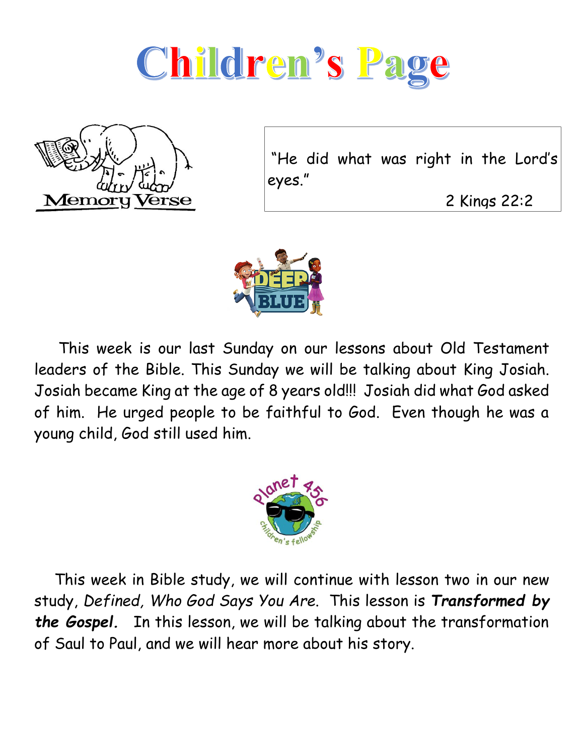



"He did what was right in the Lord's eyes."

2 Kings 22:2



 This week is our last Sunday on our lessons about Old Testament leaders of the Bible. This Sunday we will be talking about King Josiah. Josiah became King at the age of 8 years old!!! Josiah did what God asked of him. He urged people to be faithful to God. Even though he was a young child, God still used him.



 This week in Bible study, we will continue with lesson two in our new study, *Defined, Who God Says You Are*. This lesson is *Transformed by the Gospel.* In this lesson, we will be talking about the transformation of Saul to Paul, and we will hear more about his story.